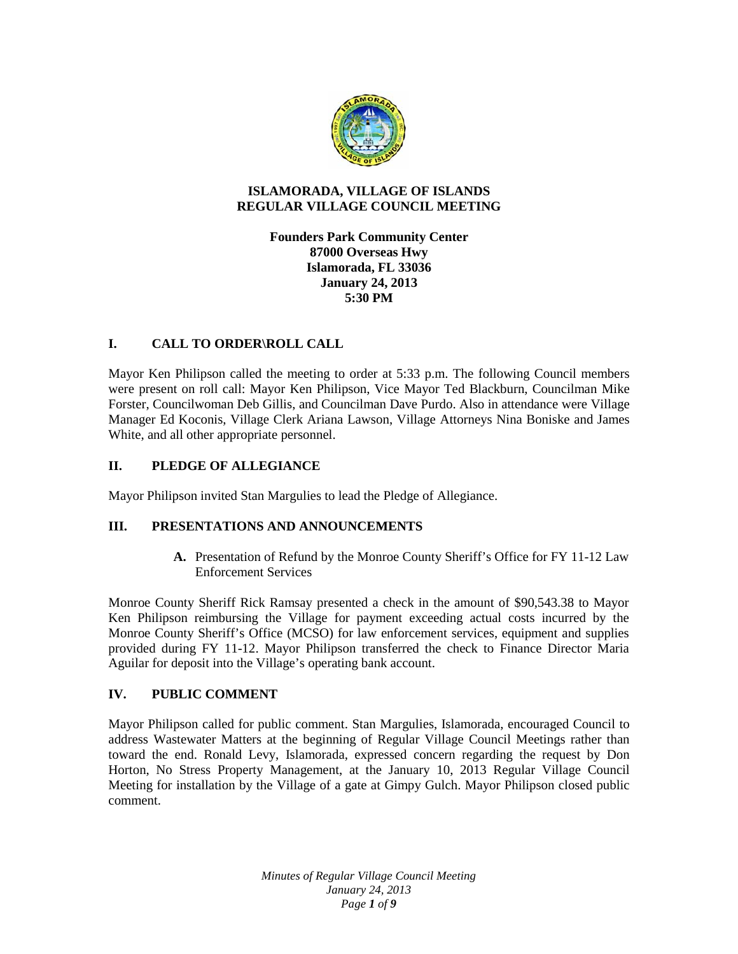

# **ISLAMORADA, VILLAGE OF ISLANDS REGULAR VILLAGE COUNCIL MEETING**

**Founders Park Community Center 87000 Overseas Hwy Islamorada, FL 33036 January 24, 2013 5:30 PM**

# **I. CALL TO ORDER\ROLL CALL**

Mayor Ken Philipson called the meeting to order at 5:33 p.m. The following Council members were present on roll call: Mayor Ken Philipson, Vice Mayor Ted Blackburn, Councilman Mike Forster, Councilwoman Deb Gillis, and Councilman Dave Purdo. Also in attendance were Village Manager Ed Koconis, Village Clerk Ariana Lawson, Village Attorneys Nina Boniske and James White, and all other appropriate personnel.

# **II. PLEDGE OF ALLEGIANCE**

Mayor Philipson invited Stan Margulies to lead the Pledge of Allegiance.

## **III. PRESENTATIONS AND ANNOUNCEMENTS**

**A.** Presentation of Refund by the Monroe County Sheriff's Office for FY 11-12 Law Enforcement Services

Monroe County Sheriff Rick Ramsay presented a check in the amount of \$90,543.38 to Mayor Ken Philipson reimbursing the Village for payment exceeding actual costs incurred by the Monroe County Sheriff's Office (MCSO) for law enforcement services, equipment and supplies provided during FY 11-12. Mayor Philipson transferred the check to Finance Director Maria Aguilar for deposit into the Village's operating bank account.

## **IV. PUBLIC COMMENT**

Mayor Philipson called for public comment. Stan Margulies, Islamorada, encouraged Council to address Wastewater Matters at the beginning of Regular Village Council Meetings rather than toward the end. Ronald Levy, Islamorada, expressed concern regarding the request by Don Horton, No Stress Property Management, at the January 10, 2013 Regular Village Council Meeting for installation by the Village of a gate at Gimpy Gulch. Mayor Philipson closed public comment.

> *Minutes of Regular Village Council Meeting January 24, 2013 Page 1 of 9*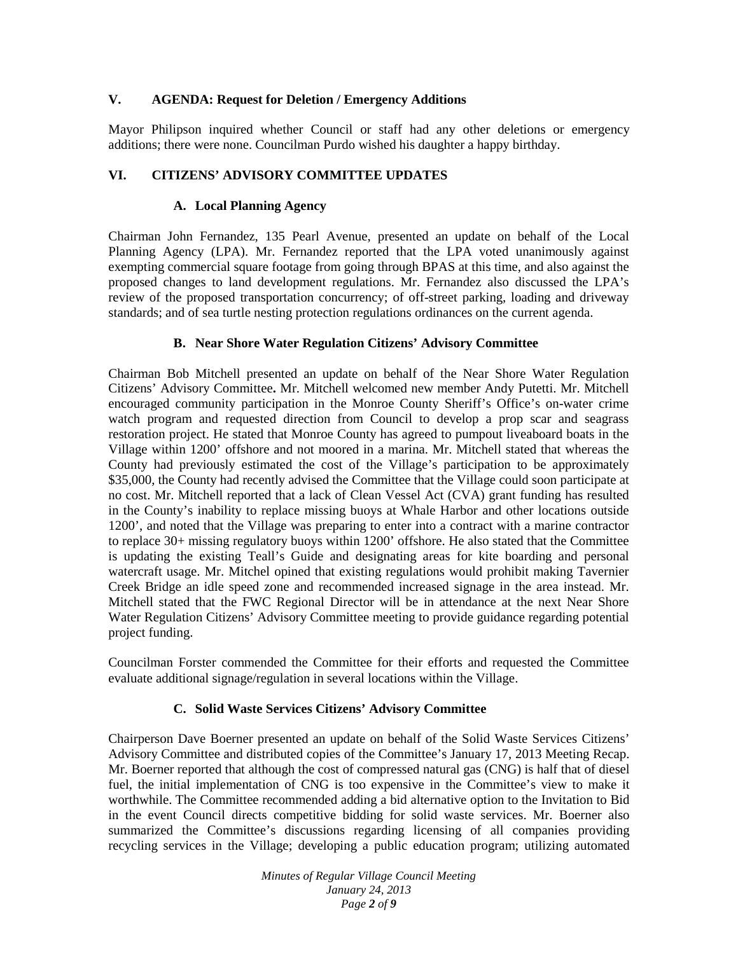# **V. AGENDA: Request for Deletion / Emergency Additions**

Mayor Philipson inquired whether Council or staff had any other deletions or emergency additions; there were none. Councilman Purdo wished his daughter a happy birthday.

# **VI. CITIZENS' ADVISORY COMMITTEE UPDATES**

#### **A. Local Planning Agency**

Chairman John Fernandez, 135 Pearl Avenue, presented an update on behalf of the Local Planning Agency (LPA). Mr. Fernandez reported that the LPA voted unanimously against exempting commercial square footage from going through BPAS at this time, and also against the proposed changes to land development regulations. Mr. Fernandez also discussed the LPA's review of the proposed transportation concurrency; of off-street parking, loading and driveway standards; and of sea turtle nesting protection regulations ordinances on the current agenda.

## **B. Near Shore Water Regulation Citizens' Advisory Committee**

Chairman Bob Mitchell presented an update on behalf of the Near Shore Water Regulation Citizens' Advisory Committee**.** Mr. Mitchell welcomed new member Andy Putetti. Mr. Mitchell encouraged community participation in the Monroe County Sheriff's Office's on-water crime watch program and requested direction from Council to develop a prop scar and seagrass restoration project. He stated that Monroe County has agreed to pumpout liveaboard boats in the Village within 1200' offshore and not moored in a marina. Mr. Mitchell stated that whereas the County had previously estimated the cost of the Village's participation to be approximately \$35,000, the County had recently advised the Committee that the Village could soon participate at no cost. Mr. Mitchell reported that a lack of Clean Vessel Act (CVA) grant funding has resulted in the County's inability to replace missing buoys at Whale Harbor and other locations outside 1200', and noted that the Village was preparing to enter into a contract with a marine contractor to replace 30+ missing regulatory buoys within 1200' offshore. He also stated that the Committee is updating the existing Teall's Guide and designating areas for kite boarding and personal watercraft usage. Mr. Mitchel opined that existing regulations would prohibit making Tavernier Creek Bridge an idle speed zone and recommended increased signage in the area instead. Mr. Mitchell stated that the FWC Regional Director will be in attendance at the next Near Shore Water Regulation Citizens' Advisory Committee meeting to provide guidance regarding potential project funding.

Councilman Forster commended the Committee for their efforts and requested the Committee evaluate additional signage/regulation in several locations within the Village.

## **C. Solid Waste Services Citizens' Advisory Committee**

Chairperson Dave Boerner presented an update on behalf of the Solid Waste Services Citizens' Advisory Committee and distributed copies of the Committee's January 17, 2013 Meeting Recap. Mr. Boerner reported that although the cost of compressed natural gas (CNG) is half that of diesel fuel, the initial implementation of CNG is too expensive in the Committee's view to make it worthwhile. The Committee recommended adding a bid alternative option to the Invitation to Bid in the event Council directs competitive bidding for solid waste services. Mr. Boerner also summarized the Committee's discussions regarding licensing of all companies providing recycling services in the Village; developing a public education program; utilizing automated

> *Minutes of Regular Village Council Meeting January 24, 2013 Page 2 of 9*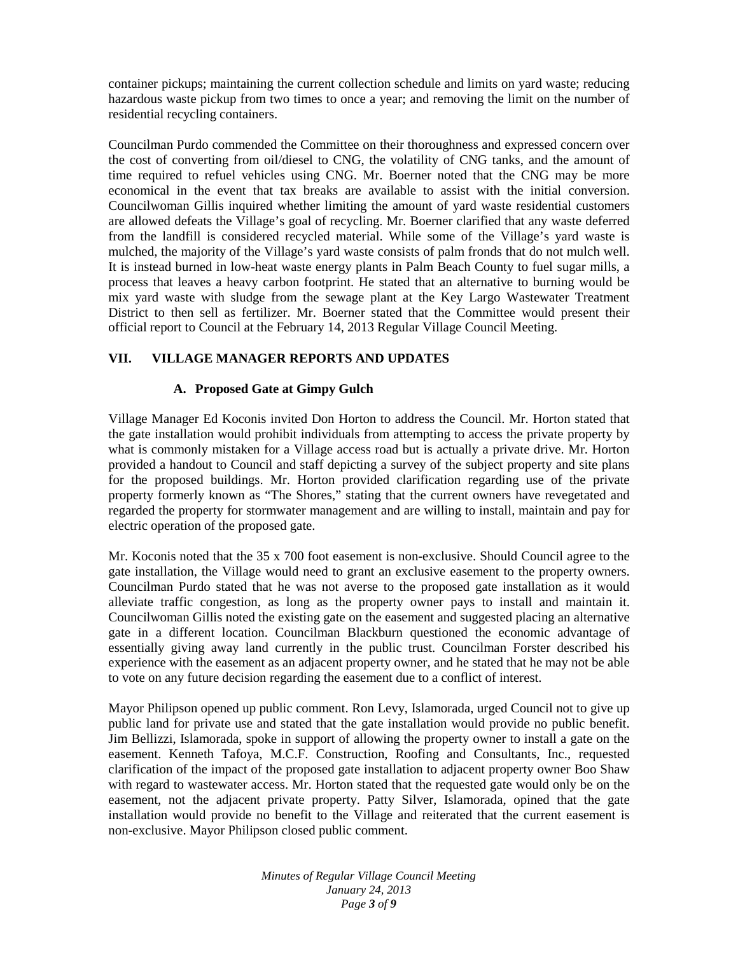container pickups; maintaining the current collection schedule and limits on yard waste; reducing hazardous waste pickup from two times to once a year; and removing the limit on the number of residential recycling containers.

Councilman Purdo commended the Committee on their thoroughness and expressed concern over the cost of converting from oil/diesel to CNG, the volatility of CNG tanks, and the amount of time required to refuel vehicles using CNG. Mr. Boerner noted that the CNG may be more economical in the event that tax breaks are available to assist with the initial conversion. Councilwoman Gillis inquired whether limiting the amount of yard waste residential customers are allowed defeats the Village's goal of recycling. Mr. Boerner clarified that any waste deferred from the landfill is considered recycled material. While some of the Village's yard waste is mulched, the majority of the Village's yard waste consists of palm fronds that do not mulch well. It is instead burned in low-heat waste energy plants in Palm Beach County to fuel sugar mills, a process that leaves a heavy carbon footprint. He stated that an alternative to burning would be mix yard waste with sludge from the sewage plant at the Key Largo Wastewater Treatment District to then sell as fertilizer. Mr. Boerner stated that the Committee would present their official report to Council at the February 14, 2013 Regular Village Council Meeting.

# **VII. VILLAGE MANAGER REPORTS AND UPDATES**

# **A. Proposed Gate at Gimpy Gulch**

Village Manager Ed Koconis invited Don Horton to address the Council. Mr. Horton stated that the gate installation would prohibit individuals from attempting to access the private property by what is commonly mistaken for a Village access road but is actually a private drive. Mr. Horton provided a handout to Council and staff depicting a survey of the subject property and site plans for the proposed buildings. Mr. Horton provided clarification regarding use of the private property formerly known as "The Shores," stating that the current owners have revegetated and regarded the property for stormwater management and are willing to install, maintain and pay for electric operation of the proposed gate.

Mr. Koconis noted that the 35 x 700 foot easement is non-exclusive. Should Council agree to the gate installation, the Village would need to grant an exclusive easement to the property owners. Councilman Purdo stated that he was not averse to the proposed gate installation as it would alleviate traffic congestion, as long as the property owner pays to install and maintain it. Councilwoman Gillis noted the existing gate on the easement and suggested placing an alternative gate in a different location. Councilman Blackburn questioned the economic advantage of essentially giving away land currently in the public trust. Councilman Forster described his experience with the easement as an adjacent property owner, and he stated that he may not be able to vote on any future decision regarding the easement due to a conflict of interest.

Mayor Philipson opened up public comment. Ron Levy, Islamorada, urged Council not to give up public land for private use and stated that the gate installation would provide no public benefit. Jim Bellizzi, Islamorada, spoke in support of allowing the property owner to install a gate on the easement. Kenneth Tafoya, M.C.F. Construction, Roofing and Consultants, Inc., requested clarification of the impact of the proposed gate installation to adjacent property owner Boo Shaw with regard to wastewater access. Mr. Horton stated that the requested gate would only be on the easement, not the adjacent private property. Patty Silver, Islamorada, opined that the gate installation would provide no benefit to the Village and reiterated that the current easement is non-exclusive. Mayor Philipson closed public comment.

> *Minutes of Regular Village Council Meeting January 24, 2013 Page 3 of 9*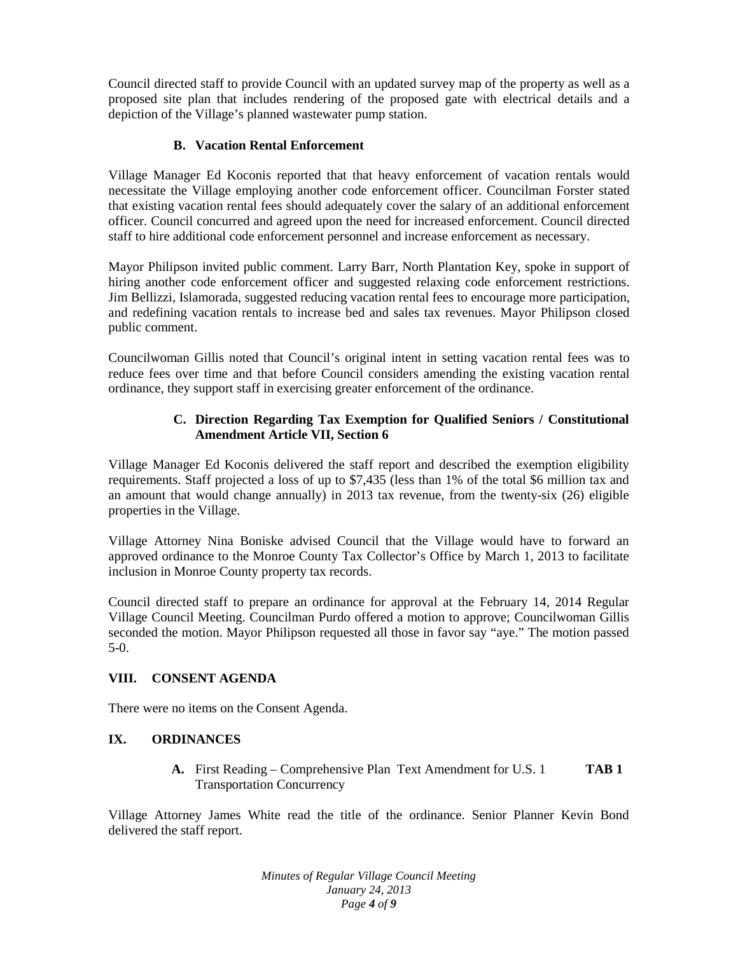Council directed staff to provide Council with an updated survey map of the property as well as a proposed site plan that includes rendering of the proposed gate with electrical details and a depiction of the Village's planned wastewater pump station.

# **B. Vacation Rental Enforcement**

Village Manager Ed Koconis reported that that heavy enforcement of vacation rentals would necessitate the Village employing another code enforcement officer. Councilman Forster stated that existing vacation rental fees should adequately cover the salary of an additional enforcement officer. Council concurred and agreed upon the need for increased enforcement. Council directed staff to hire additional code enforcement personnel and increase enforcement as necessary.

Mayor Philipson invited public comment. Larry Barr, North Plantation Key, spoke in support of hiring another code enforcement officer and suggested relaxing code enforcement restrictions. Jim Bellizzi, Islamorada, suggested reducing vacation rental fees to encourage more participation, and redefining vacation rentals to increase bed and sales tax revenues. Mayor Philipson closed public comment.

Councilwoman Gillis noted that Council's original intent in setting vacation rental fees was to reduce fees over time and that before Council considers amending the existing vacation rental ordinance, they support staff in exercising greater enforcement of the ordinance.

# **C. Direction Regarding Tax Exemption for Qualified Seniors / Constitutional Amendment Article VII, Section 6**

Village Manager Ed Koconis delivered the staff report and described the exemption eligibility requirements. Staff projected a loss of up to \$7,435 (less than 1% of the total \$6 million tax and an amount that would change annually) in 2013 tax revenue, from the twenty-six (26) eligible properties in the Village.

Village Attorney Nina Boniske advised Council that the Village would have to forward an approved ordinance to the Monroe County Tax Collector's Office by March 1, 2013 to facilitate inclusion in Monroe County property tax records.

Council directed staff to prepare an ordinance for approval at the February 14, 2014 Regular Village Council Meeting. Councilman Purdo offered a motion to approve; Councilwoman Gillis seconded the motion. Mayor Philipson requested all those in favor say "aye." The motion passed 5-0.

## **VIII. CONSENT AGENDA**

There were no items on the Consent Agenda.

## **IX. ORDINANCES**

**A.** First Reading – Comprehensive Plan Text Amendment for U.S. 1 **TAB 1** Transportation Concurrency

Village Attorney James White read the title of the ordinance. Senior Planner Kevin Bond delivered the staff report.

> *Minutes of Regular Village Council Meeting January 24, 2013 Page 4 of 9*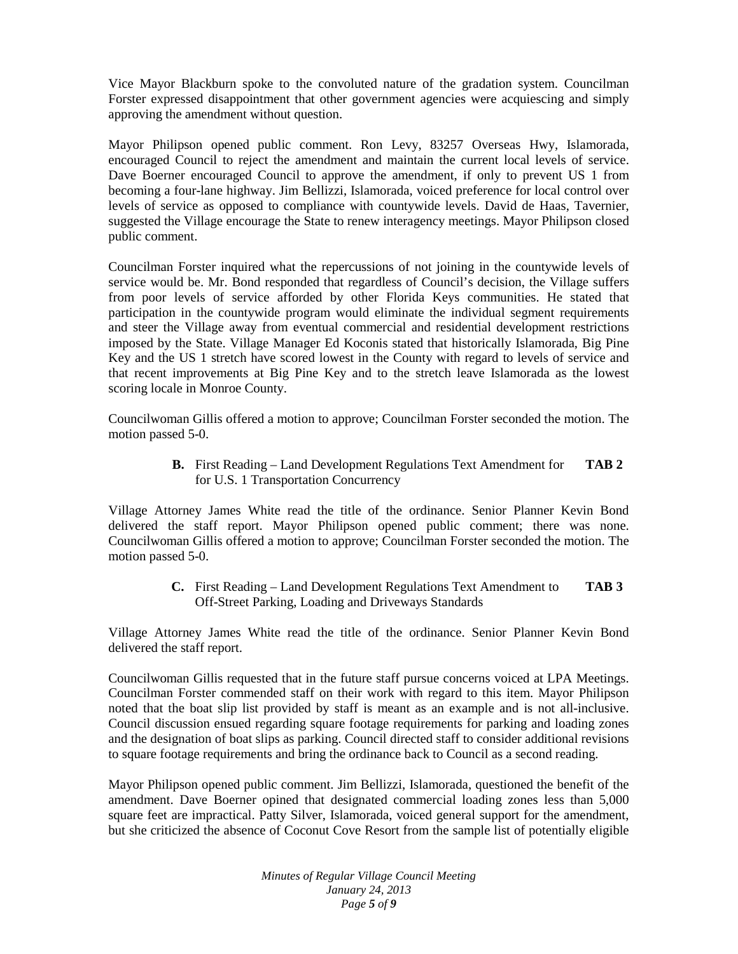Vice Mayor Blackburn spoke to the convoluted nature of the gradation system. Councilman Forster expressed disappointment that other government agencies were acquiescing and simply approving the amendment without question.

Mayor Philipson opened public comment. Ron Levy, 83257 Overseas Hwy, Islamorada, encouraged Council to reject the amendment and maintain the current local levels of service. Dave Boerner encouraged Council to approve the amendment, if only to prevent US 1 from becoming a four-lane highway. Jim Bellizzi, Islamorada, voiced preference for local control over levels of service as opposed to compliance with countywide levels. David de Haas, Tavernier, suggested the Village encourage the State to renew interagency meetings. Mayor Philipson closed public comment.

Councilman Forster inquired what the repercussions of not joining in the countywide levels of service would be. Mr. Bond responded that regardless of Council's decision, the Village suffers from poor levels of service afforded by other Florida Keys communities. He stated that participation in the countywide program would eliminate the individual segment requirements and steer the Village away from eventual commercial and residential development restrictions imposed by the State. Village Manager Ed Koconis stated that historically Islamorada, Big Pine Key and the US 1 stretch have scored lowest in the County with regard to levels of service and that recent improvements at Big Pine Key and to the stretch leave Islamorada as the lowest scoring locale in Monroe County.

Councilwoman Gillis offered a motion to approve; Councilman Forster seconded the motion. The motion passed 5-0.

> **B.** First Reading – Land Development Regulations Text Amendment for **TAB 2** for U.S. 1 Transportation Concurrency

Village Attorney James White read the title of the ordinance. Senior Planner Kevin Bond delivered the staff report. Mayor Philipson opened public comment; there was none. Councilwoman Gillis offered a motion to approve; Councilman Forster seconded the motion. The motion passed 5-0.

> **C.** First Reading – Land Development Regulations Text Amendment to **TAB 3** Off-Street Parking, Loading and Driveways Standards

Village Attorney James White read the title of the ordinance. Senior Planner Kevin Bond delivered the staff report.

Councilwoman Gillis requested that in the future staff pursue concerns voiced at LPA Meetings. Councilman Forster commended staff on their work with regard to this item. Mayor Philipson noted that the boat slip list provided by staff is meant as an example and is not all-inclusive. Council discussion ensued regarding square footage requirements for parking and loading zones and the designation of boat slips as parking. Council directed staff to consider additional revisions to square footage requirements and bring the ordinance back to Council as a second reading.

Mayor Philipson opened public comment. Jim Bellizzi, Islamorada, questioned the benefit of the amendment. Dave Boerner opined that designated commercial loading zones less than 5,000 square feet are impractical. Patty Silver, Islamorada, voiced general support for the amendment, but she criticized the absence of Coconut Cove Resort from the sample list of potentially eligible

> *Minutes of Regular Village Council Meeting January 24, 2013 Page 5 of 9*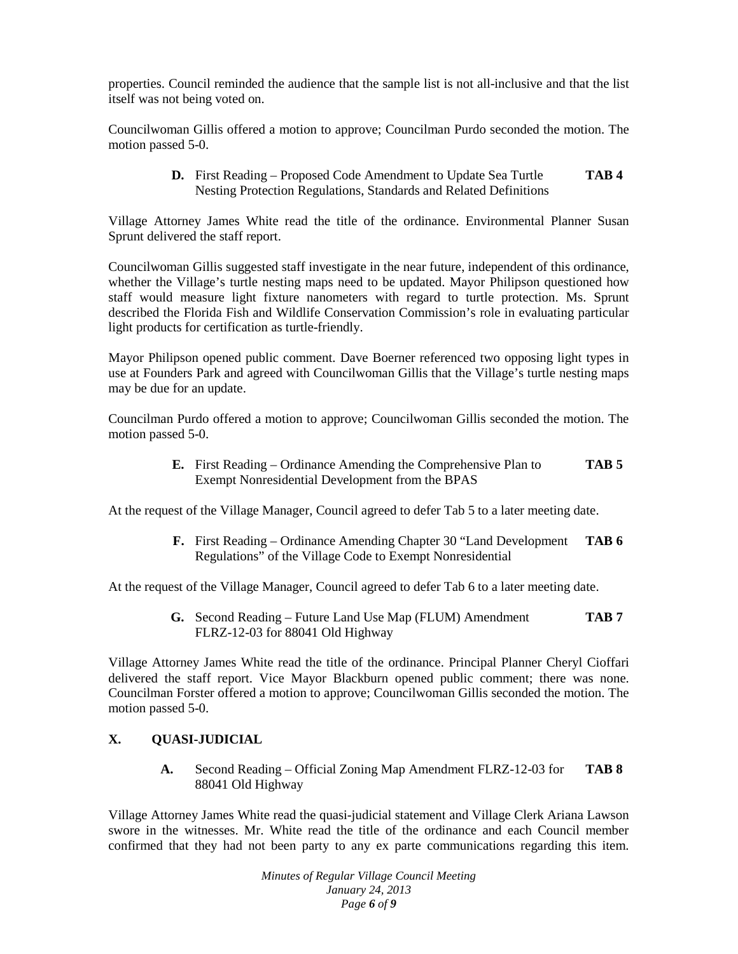properties. Council reminded the audience that the sample list is not all-inclusive and that the list itself was not being voted on.

Councilwoman Gillis offered a motion to approve; Councilman Purdo seconded the motion. The motion passed 5-0.

> **D.** First Reading – Proposed Code Amendment to Update Sea Turtle **TAB 4** Nesting Protection Regulations, Standards and Related Definitions

Village Attorney James White read the title of the ordinance. Environmental Planner Susan Sprunt delivered the staff report.

Councilwoman Gillis suggested staff investigate in the near future, independent of this ordinance, whether the Village's turtle nesting maps need to be updated. Mayor Philipson questioned how staff would measure light fixture nanometers with regard to turtle protection. Ms. Sprunt described the Florida Fish and Wildlife Conservation Commission's role in evaluating particular light products for certification as turtle-friendly.

Mayor Philipson opened public comment. Dave Boerner referenced two opposing light types in use at Founders Park and agreed with Councilwoman Gillis that the Village's turtle nesting maps may be due for an update.

Councilman Purdo offered a motion to approve; Councilwoman Gillis seconded the motion. The motion passed 5-0.

> **E.** First Reading – Ordinance Amending the Comprehensive Plan to **TAB 5** Exempt Nonresidential Development from the BPAS

At the request of the Village Manager, Council agreed to defer Tab 5 to a later meeting date.

**F.** First Reading – Ordinance Amending Chapter 30 "Land Development **TAB 6** Regulations" of the Village Code to Exempt Nonresidential

At the request of the Village Manager, Council agreed to defer Tab 6 to a later meeting date.

**G.** Second Reading – Future Land Use Map (FLUM) Amendment **TAB 7** FLRZ-12-03 for 88041 Old Highway

Village Attorney James White read the title of the ordinance. Principal Planner Cheryl Cioffari delivered the staff report. Vice Mayor Blackburn opened public comment; there was none. Councilman Forster offered a motion to approve; Councilwoman Gillis seconded the motion. The motion passed 5-0.

# **X. QUASI-JUDICIAL**

**A.** Second Reading – Official Zoning Map Amendment FLRZ-12-03 for **TAB 8** 88041 Old Highway

Village Attorney James White read the quasi-judicial statement and Village Clerk Ariana Lawson swore in the witnesses. Mr. White read the title of the ordinance and each Council member confirmed that they had not been party to any ex parte communications regarding this item.

> *Minutes of Regular Village Council Meeting January 24, 2013 Page 6 of 9*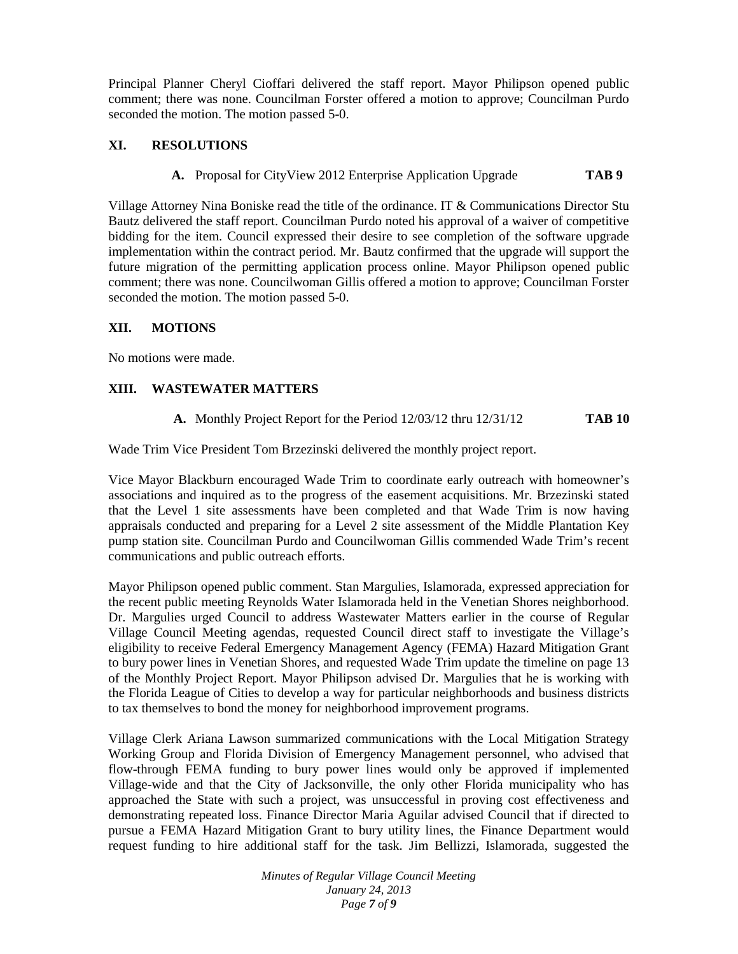Principal Planner Cheryl Cioffari delivered the staff report. Mayor Philipson opened public comment; there was none. Councilman Forster offered a motion to approve; Councilman Purdo seconded the motion. The motion passed 5-0.

# **XI. RESOLUTIONS**

**A.** Proposal for CityView 2012 Enterprise Application Upgrade **TAB 9**

Village Attorney Nina Boniske read the title of the ordinance. IT & Communications Director Stu Bautz delivered the staff report. Councilman Purdo noted his approval of a waiver of competitive bidding for the item. Council expressed their desire to see completion of the software upgrade implementation within the contract period. Mr. Bautz confirmed that the upgrade will support the future migration of the permitting application process online. Mayor Philipson opened public comment; there was none. Councilwoman Gillis offered a motion to approve; Councilman Forster seconded the motion. The motion passed 5-0.

# **XII. MOTIONS**

No motions were made.

# **XIII. WASTEWATER MATTERS**

**A.** Monthly Project Report for the Period 12/03/12 thru 12/31/12 **TAB 10**

Wade Trim Vice President Tom Brzezinski delivered the monthly project report.

Vice Mayor Blackburn encouraged Wade Trim to coordinate early outreach with homeowner's associations and inquired as to the progress of the easement acquisitions. Mr. Brzezinski stated that the Level 1 site assessments have been completed and that Wade Trim is now having appraisals conducted and preparing for a Level 2 site assessment of the Middle Plantation Key pump station site. Councilman Purdo and Councilwoman Gillis commended Wade Trim's recent communications and public outreach efforts.

Mayor Philipson opened public comment. Stan Margulies, Islamorada, expressed appreciation for the recent public meeting Reynolds Water Islamorada held in the Venetian Shores neighborhood. Dr. Margulies urged Council to address Wastewater Matters earlier in the course of Regular Village Council Meeting agendas, requested Council direct staff to investigate the Village's eligibility to receive Federal Emergency Management Agency (FEMA) Hazard Mitigation Grant to bury power lines in Venetian Shores, and requested Wade Trim update the timeline on page 13 of the Monthly Project Report. Mayor Philipson advised Dr. Margulies that he is working with the Florida League of Cities to develop a way for particular neighborhoods and business districts to tax themselves to bond the money for neighborhood improvement programs.

Village Clerk Ariana Lawson summarized communications with the Local Mitigation Strategy Working Group and Florida Division of Emergency Management personnel, who advised that flow-through FEMA funding to bury power lines would only be approved if implemented Village-wide and that the City of Jacksonville, the only other Florida municipality who has approached the State with such a project, was unsuccessful in proving cost effectiveness and demonstrating repeated loss. Finance Director Maria Aguilar advised Council that if directed to pursue a FEMA Hazard Mitigation Grant to bury utility lines, the Finance Department would request funding to hire additional staff for the task. Jim Bellizzi, Islamorada, suggested the

> *Minutes of Regular Village Council Meeting January 24, 2013 Page 7 of 9*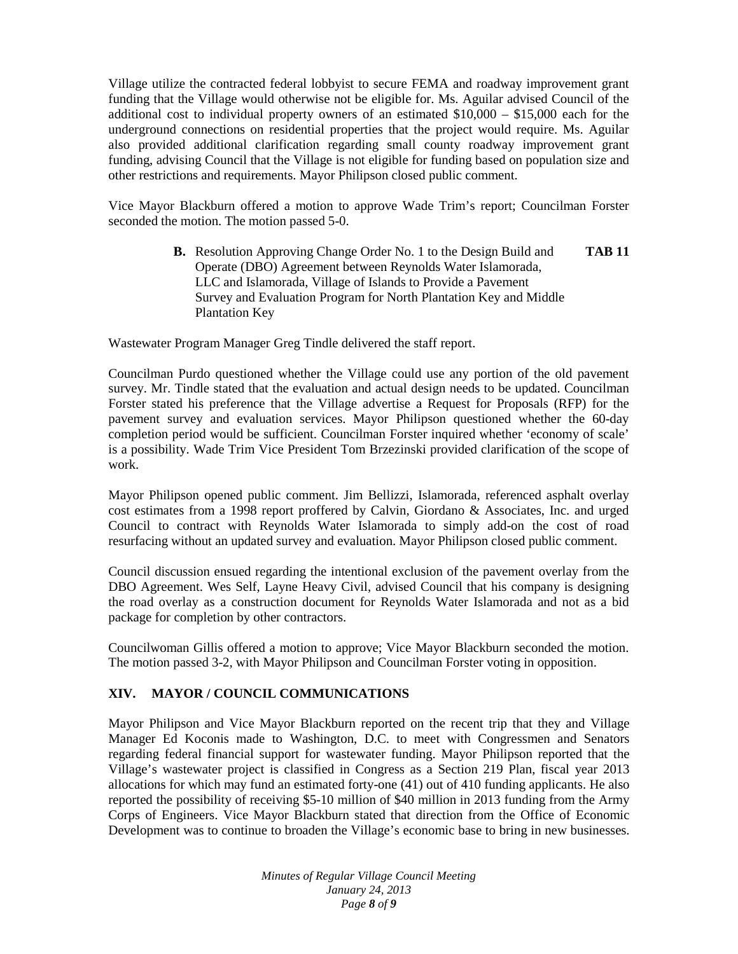Village utilize the contracted federal lobbyist to secure FEMA and roadway improvement grant funding that the Village would otherwise not be eligible for. Ms. Aguilar advised Council of the additional cost to individual property owners of an estimated \$10,000 – \$15,000 each for the underground connections on residential properties that the project would require. Ms. Aguilar also provided additional clarification regarding small county roadway improvement grant funding, advising Council that the Village is not eligible for funding based on population size and other restrictions and requirements. Mayor Philipson closed public comment.

Vice Mayor Blackburn offered a motion to approve Wade Trim's report; Councilman Forster seconded the motion. The motion passed 5-0.

> **B.** Resolution Approving Change Order No. 1 to the Design Build and **TAB 11** Operate (DBO) Agreement between Reynolds Water Islamorada, LLC and Islamorada, Village of Islands to Provide a Pavement Survey and Evaluation Program for North Plantation Key and Middle Plantation Key

Wastewater Program Manager Greg Tindle delivered the staff report.

Councilman Purdo questioned whether the Village could use any portion of the old pavement survey. Mr. Tindle stated that the evaluation and actual design needs to be updated. Councilman Forster stated his preference that the Village advertise a Request for Proposals (RFP) for the pavement survey and evaluation services. Mayor Philipson questioned whether the 60-day completion period would be sufficient. Councilman Forster inquired whether 'economy of scale' is a possibility. Wade Trim Vice President Tom Brzezinski provided clarification of the scope of work.

Mayor Philipson opened public comment. Jim Bellizzi, Islamorada, referenced asphalt overlay cost estimates from a 1998 report proffered by Calvin, Giordano & Associates, Inc. and urged Council to contract with Reynolds Water Islamorada to simply add-on the cost of road resurfacing without an updated survey and evaluation. Mayor Philipson closed public comment.

Council discussion ensued regarding the intentional exclusion of the pavement overlay from the DBO Agreement. Wes Self, Layne Heavy Civil, advised Council that his company is designing the road overlay as a construction document for Reynolds Water Islamorada and not as a bid package for completion by other contractors.

Councilwoman Gillis offered a motion to approve; Vice Mayor Blackburn seconded the motion. The motion passed 3-2, with Mayor Philipson and Councilman Forster voting in opposition.

## **XIV. MAYOR / COUNCIL COMMUNICATIONS**

Mayor Philipson and Vice Mayor Blackburn reported on the recent trip that they and Village Manager Ed Koconis made to Washington, D.C. to meet with Congressmen and Senators regarding federal financial support for wastewater funding. Mayor Philipson reported that the Village's wastewater project is classified in Congress as a Section 219 Plan, fiscal year 2013 allocations for which may fund an estimated forty-one (41) out of 410 funding applicants. He also reported the possibility of receiving \$5-10 million of \$40 million in 2013 funding from the Army Corps of Engineers. Vice Mayor Blackburn stated that direction from the Office of Economic Development was to continue to broaden the Village's economic base to bring in new businesses.

> *Minutes of Regular Village Council Meeting January 24, 2013 Page 8 of 9*